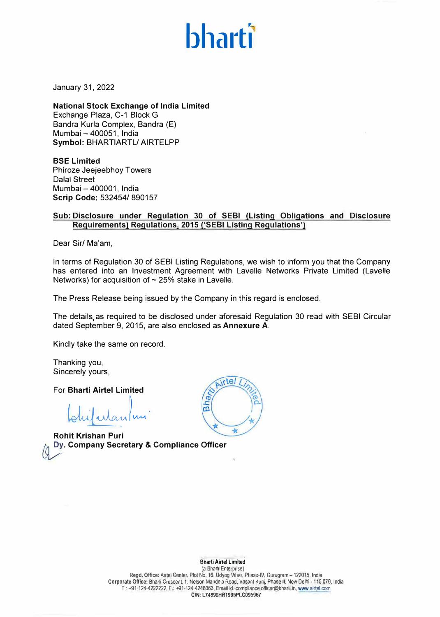# **bhartl**

January 31, 2022

**National Stock Exchange of India Limited**  Exchange Plaza, C-1 Block G Bandra Kurla Complex, Bandra (E) Mumbai - 400051, India **Symbol:** BHARTIARTL/ AIRTELPP

**BSE Limited**  Phiroze Jeejeebhoy Towers Dalal Street Mumbai - 400001, India **Scrip Code:** 532454/ 890157

## **Sub: Disclosure under Regulation 30 of SEBI (Listing Obligations and Disclosure Requirements) Requlations, 2015 ('SEBI Listing Requlations')**

Dear Sir/ Ma'am,

In terms of Regulation 30 of SEBI Listing Regulations, we wish to inform you that the Company has entered into an Investment Agreement with Lavelle Networks Private Limited (Lavelle Networks) for acquisition of  $\sim$  25% stake in Lavelle.

The Press Release being issued by the Company in this regard is enclosed.

The details, as required to be disclosed under aforesaid Regulation 30 read with SEBI Circular dated September 9, 2015, are also enclosed as **Annexure A.** 

Kindly take the same on record.

Thanking you, Sincerely yours,

For **Bharti Airtel Limited**

bruil utan  $\bigg\vert_{\mu_{\mathcal{U}}}$ .

� - **Company Secretary** & **Compliance Officer Rohit Krishan Puri** 



Bharti Airtel Limited

(a Bharti Enterprise) Regd. Office: Airtel Center. Plot No. 16. Udyog Vihar, Phase-IV, Gurugram-122015, India Corporate Office: Bharti Crescent, 1, Nelson Mandela Road, Vasant Kun), Phase II, New Delhi -110 070, India T.: +91-124-4222222, F.: +91-124-4248063, Email id: compliance.officer@bharti.in, www.airtel.com CIN: l74899HR1995PLC095967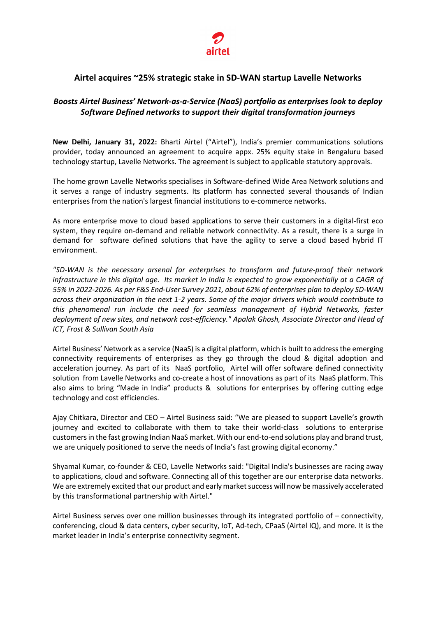

# **Airtel acquires ~25% strategic stake in SD-WAN startup Lavelle Networks**

## *Boosts Airtel Business' Network-as-a-Service (NaaS) portfolio as enterprises look to deploy Software Defined networks to support their digital transformation journeys*

**New Delhi, January 31, 2022:** Bharti Airtel ("Airtel"), India's premier communications solutions provider, today announced an agreement to acquire appx. 25% equity stake in Bengaluru based technology startup, Lavelle Networks. The agreement is subject to applicable statutory approvals.

The home grown Lavelle Networks specialises in Software-defined Wide Area Network solutions and it serves a range of industry segments. Its platform has connected several thousands of Indian enterprises from the nation's largest financial institutions to e-commerce networks.

As more enterprise move to cloud based applications to serve their customers in a digital-first eco system, they require on-demand and reliable network connectivity. As a result, there is a surge in demand for software defined solutions that have the agility to serve a cloud based hybrid IT environment.

*"SD-WAN is the necessary arsenal for enterprises to transform and future-proof their network infrastructure in this digital age. Its market in India is expected to grow exponentially at a CAGR of 55% in 2022-2026. As per F&S End-User Survey 2021, about 62% of enterprises plan to deploy SD-WAN across their organization in the next 1-2 years. Some of the major drivers which would contribute to this phenomenal run include the need for seamless management of Hybrid Networks, faster deployment of new sites, and network cost-efficiency." Apalak Ghosh, Associate Director and Head of ICT, Frost & Sullivan South Asia*

Airtel Business' Network as a service (NaaS) is a digital platform, which is built to address the emerging connectivity requirements of enterprises as they go through the cloud & digital adoption and acceleration journey. As part of its NaaS portfolio, Airtel will offer software defined connectivity solution from Lavelle Networks and co-create a host of innovations as part of its NaaS platform. This also aims to bring "Made in India" products & solutions for enterprises by offering cutting edge technology and cost efficiencies.

Ajay Chitkara, Director and CEO – Airtel Business said: "We are pleased to support Lavelle's growth journey and excited to collaborate with them to take their world-class solutions to enterprise customers in the fast growing Indian NaaS market. With our end-to-end solutions play and brand trust, we are uniquely positioned to serve the needs of India's fast growing digital economy."

Shyamal Kumar, co-founder & CEO, Lavelle Networks said: "Digital India's businesses are racing away to applications, cloud and software. Connecting all of this together are our enterprise data networks. We are extremely excited that our product and early market success will now be massively accelerated by this transformational partnership with Airtel."

Airtel Business serves over one million businesses through its integrated portfolio of – connectivity, conferencing, cloud & data centers, cyber security, IoT, Ad-tech, CPaaS (Airtel IQ), and more. It is the market leader in India's enterprise connectivity segment.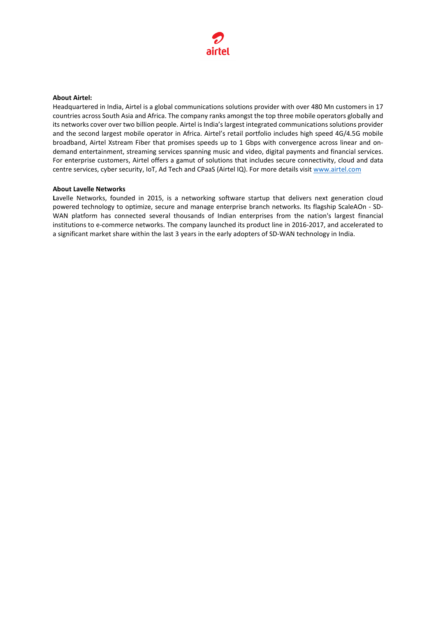

#### **About Airtel:**

Headquartered in India, Airtel is a global communications solutions provider with over 480 Mn customers in 17 countries across South Asia and Africa. The company ranks amongst the top three mobile operators globally and its networks cover over two billion people. Airtel is India's largest integrated communications solutions provider and the second largest mobile operator in Africa. Airtel's retail portfolio includes high speed 4G/4.5G mobile broadband, Airtel Xstream Fiber that promises speeds up to 1 Gbps with convergence across linear and ondemand entertainment, streaming services spanning music and video, digital payments and financial services. For enterprise customers, Airtel offers a gamut of solutions that includes secure connectivity, cloud and data centre services, cyber security, IoT, Ad Tech and CPaaS (Airtel IQ). For more details visit [www.airtel.com](http://www.airtel.com/)

#### **About Lavelle Networks**

Lavelle Networks, founded in 2015, is a networking software startup that delivers next generation cloud powered technology to optimize, secure and manage enterprise branch networks. Its flagship ScaleAOn - SD-WAN platform has connected several thousands of Indian enterprises from the nation's largest financial institutions to e-commerce networks. The company launched its product line in 2016-2017, and accelerated to a significant market share within the last 3 years in the early adopters of SD-WAN technology in India.